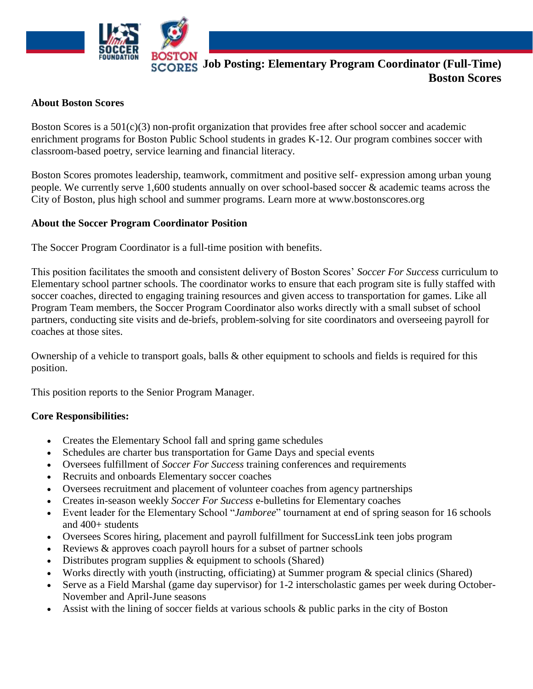

#### **About Boston Scores**

Boston Scores is a 501(c)(3) non-profit organization that provides free after school soccer and academic enrichment programs for Boston Public School students in grades K-12. Our program combines soccer with classroom-based poetry, service learning and financial literacy.

Boston Scores promotes leadership, teamwork, commitment and positive self- expression among urban young people. We currently serve 1,600 students annually on over school-based soccer & academic teams across the City of Boston, plus high school and summer programs. Learn more at www.bostonscores.org

### **About the Soccer Program Coordinator Position**

The Soccer Program Coordinator is a full-time position with benefits.

This position facilitates the smooth and consistent delivery of Boston Scores' *Soccer For Success* curriculum to Elementary school partner schools. The coordinator works to ensure that each program site is fully staffed with soccer coaches, directed to engaging training resources and given access to transportation for games. Like all Program Team members, the Soccer Program Coordinator also works directly with a small subset of school partners, conducting site visits and de-briefs, problem-solving for site coordinators and overseeing payroll for coaches at those sites.

Ownership of a vehicle to transport goals, balls & other equipment to schools and fields is required for this position.

This position reports to the Senior Program Manager.

### **Core Responsibilities:**

- Creates the Elementary School fall and spring game schedules
- Schedules are charter bus transportation for Game Days and special events
- Oversees fulfillment of *Soccer For Success* training conferences and requirements
- Recruits and onboards Elementary soccer coaches
- Oversees recruitment and placement of volunteer coaches from agency partnerships
- Creates in-season weekly *Soccer For Success* e-bulletins for Elementary coaches
- Event leader for the Elementary School "*Jamboree*" tournament at end of spring season for 16 schools and 400+ students
- Oversees Scores hiring, placement and payroll fulfillment for SuccessLink teen jobs program
- Reviews & approves coach payroll hours for a subset of partner schools
- Distributes program supplies  $\&$  equipment to schools (Shared)
- Works directly with youth (instructing, officiating) at Summer program & special clinics (Shared)
- Serve as a Field Marshal (game day supervisor) for 1-2 interscholastic games per week during October-November and April-June seasons
- Assist with the lining of soccer fields at various schools & public parks in the city of Boston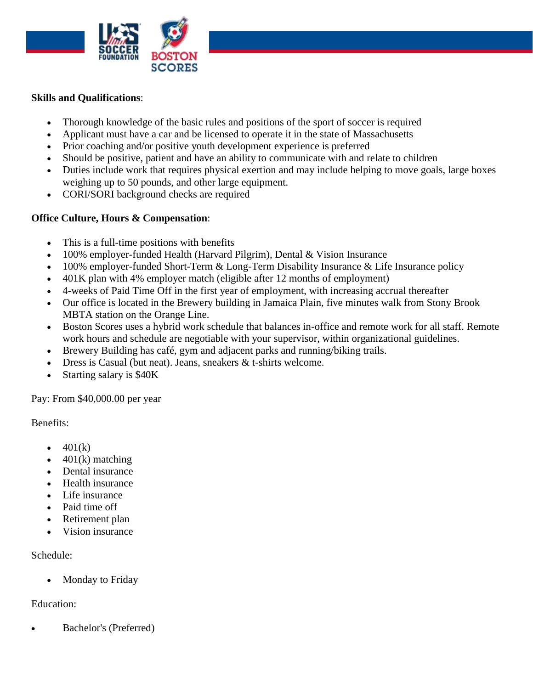

# **Skills and Qualifications**:

- Thorough knowledge of the basic rules and positions of the sport of soccer is required
- Applicant must have a car and be licensed to operate it in the state of Massachusetts
- Prior coaching and/or positive youth development experience is preferred
- Should be positive, patient and have an ability to communicate with and relate to children
- Duties include work that requires physical exertion and may include helping to move goals, large boxes weighing up to 50 pounds, and other large equipment.
- CORI/SORI background checks are required

## **Office Culture, Hours & Compensation**:

- This is a full-time positions with benefits
- 100% employer-funded Health (Harvard Pilgrim), Dental & Vision Insurance
- 100% employer-funded Short-Term & Long-Term Disability Insurance & Life Insurance policy
- 401K plan with 4% employer match (eligible after 12 months of employment)
- 4-weeks of Paid Time Off in the first year of employment, with increasing accrual thereafter
- Our office is located in the Brewery building in Jamaica Plain, five minutes walk from Stony Brook MBTA station on the Orange Line.
- Boston Scores uses a hybrid work schedule that balances in-office and remote work for all staff. Remote work hours and schedule are negotiable with your supervisor, within organizational guidelines.
- Brewery Building has café, gym and adjacent parks and running/biking trails.
- Dress is Casual (but neat). Jeans, sneakers & t-shirts welcome.
- Starting salary is \$40K

Pay: From \$40,000.00 per year

Benefits:

- $401(k)$
- $401(k)$  matching
- Dental insurance
- Health insurance
- Life insurance
- Paid time off
- Retirement plan
- Vision insurance

## Schedule:

• Monday to Friday

## Education:

• Bachelor's (Preferred)